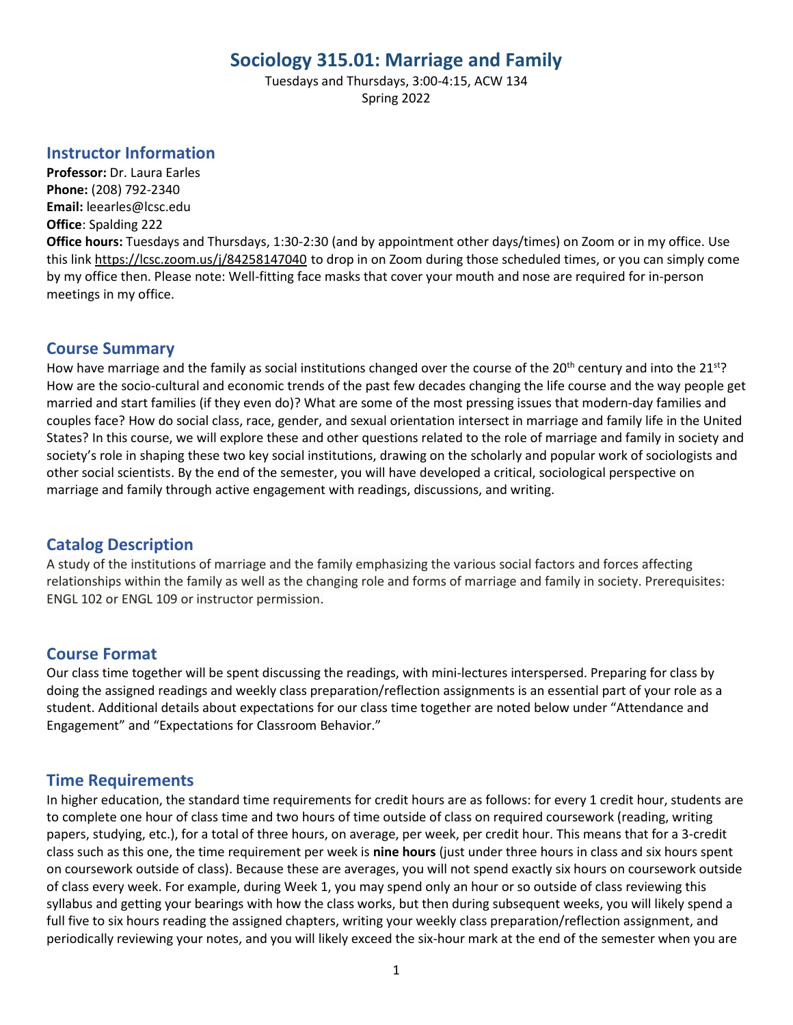# **Sociology 315.01: Marriage and Family**

Tuesdays and Thursdays, 3:00-4:15, ACW 134 Spring 2022

### **Instructor Information**

**Professor:** Dr. Laura Earles **Phone:** (208) 792-2340 **Email:** leearles@lcsc.edu **Office**: Spalding 222

**Office hours:** Tuesdays and Thursdays, 1:30-2:30 (and by appointment other days/times) on Zoom or in my office. Use this link<https://lcsc.zoom.us/j/84258147040> to drop in on Zoom during those scheduled times, or you can simply come by my office then. Please note: Well-fitting face masks that cover your mouth and nose are required for in-person meetings in my office.

## **Course Summary**

How have marriage and the family as social institutions changed over the course of the 20<sup>th</sup> century and into the 21<sup>st</sup>? How are the socio-cultural and economic trends of the past few decades changing the life course and the way people get married and start families (if they even do)? What are some of the most pressing issues that modern-day families and couples face? How do social class, race, gender, and sexual orientation intersect in marriage and family life in the United States? In this course, we will explore these and other questions related to the role of marriage and family in society and society's role in shaping these two key social institutions, drawing on the scholarly and popular work of sociologists and other social scientists. By the end of the semester, you will have developed a critical, sociological perspective on marriage and family through active engagement with readings, discussions, and writing.

## **Catalog Description**

A study of the institutions of marriage and the family emphasizing the various social factors and forces affecting relationships within the family as well as the changing role and forms of marriage and family in society. Prerequisites: ENGL 102 or ENGL 109 or instructor permission.

### **Course Format**

Our class time together will be spent discussing the readings, with mini-lectures interspersed. Preparing for class by doing the assigned readings and weekly class preparation/reflection assignments is an essential part of your role as a student. Additional details about expectations for our class time together are noted below under "Attendance and Engagement" and "Expectations for Classroom Behavior."

### **Time Requirements**

In higher education, the standard time requirements for credit hours are as follows: for every 1 credit hour, students are to complete one hour of class time and two hours of time outside of class on required coursework (reading, writing papers, studying, etc.), for a total of three hours, on average, per week, per credit hour. This means that for a 3-credit class such as this one, the time requirement per week is **nine hours** (just under three hours in class and six hours spent on coursework outside of class). Because these are averages, you will not spend exactly six hours on coursework outside of class every week. For example, during Week 1, you may spend only an hour or so outside of class reviewing this syllabus and getting your bearings with how the class works, but then during subsequent weeks, you will likely spend a full five to six hours reading the assigned chapters, writing your weekly class preparation/reflection assignment, and periodically reviewing your notes, and you will likely exceed the six-hour mark at the end of the semester when you are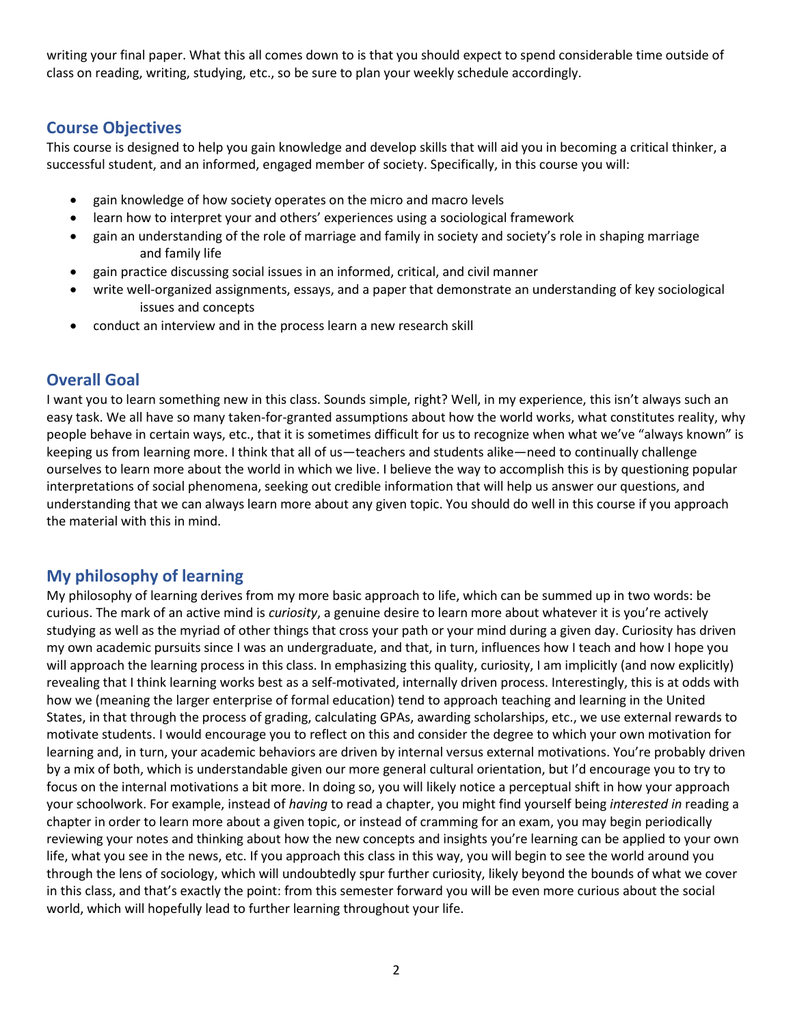writing your final paper. What this all comes down to is that you should expect to spend considerable time outside of class on reading, writing, studying, etc., so be sure to plan your weekly schedule accordingly.

## **Course Objectives**

This course is designed to help you gain knowledge and develop skills that will aid you in becoming a critical thinker, a successful student, and an informed, engaged member of society. Specifically, in this course you will:

- gain knowledge of how society operates on the micro and macro levels
- learn how to interpret your and others' experiences using a sociological framework
- gain an understanding of the role of marriage and family in society and society's role in shaping marriage and family life
- gain practice discussing social issues in an informed, critical, and civil manner
- write well-organized assignments, essays, and a paper that demonstrate an understanding of key sociological issues and concepts
- conduct an interview and in the process learn a new research skill

## **Overall Goal**

I want you to learn something new in this class. Sounds simple, right? Well, in my experience, this isn't always such an easy task. We all have so many taken-for-granted assumptions about how the world works, what constitutes reality, why people behave in certain ways, etc., that it is sometimes difficult for us to recognize when what we've "always known" is keeping us from learning more. I think that all of us—teachers and students alike—need to continually challenge ourselves to learn more about the world in which we live. I believe the way to accomplish this is by questioning popular interpretations of social phenomena, seeking out credible information that will help us answer our questions, and understanding that we can always learn more about any given topic. You should do well in this course if you approach the material with this in mind.

## **My philosophy of learning**

My philosophy of learning derives from my more basic approach to life, which can be summed up in two words: be curious. The mark of an active mind is *curiosity*, a genuine desire to learn more about whatever it is you're actively studying as well as the myriad of other things that cross your path or your mind during a given day. Curiosity has driven my own academic pursuits since I was an undergraduate, and that, in turn, influences how I teach and how I hope you will approach the learning process in this class. In emphasizing this quality, curiosity, I am implicitly (and now explicitly) revealing that I think learning works best as a self-motivated, internally driven process. Interestingly, this is at odds with how we (meaning the larger enterprise of formal education) tend to approach teaching and learning in the United States, in that through the process of grading, calculating GPAs, awarding scholarships, etc., we use external rewards to motivate students. I would encourage you to reflect on this and consider the degree to which your own motivation for learning and, in turn, your academic behaviors are driven by internal versus external motivations. You're probably driven by a mix of both, which is understandable given our more general cultural orientation, but I'd encourage you to try to focus on the internal motivations a bit more. In doing so, you will likely notice a perceptual shift in how your approach your schoolwork. For example, instead of *having* to read a chapter, you might find yourself being *interested in* reading a chapter in order to learn more about a given topic, or instead of cramming for an exam, you may begin periodically reviewing your notes and thinking about how the new concepts and insights you're learning can be applied to your own life, what you see in the news, etc. If you approach this class in this way, you will begin to see the world around you through the lens of sociology, which will undoubtedly spur further curiosity, likely beyond the bounds of what we cover in this class, and that's exactly the point: from this semester forward you will be even more curious about the social world, which will hopefully lead to further learning throughout your life.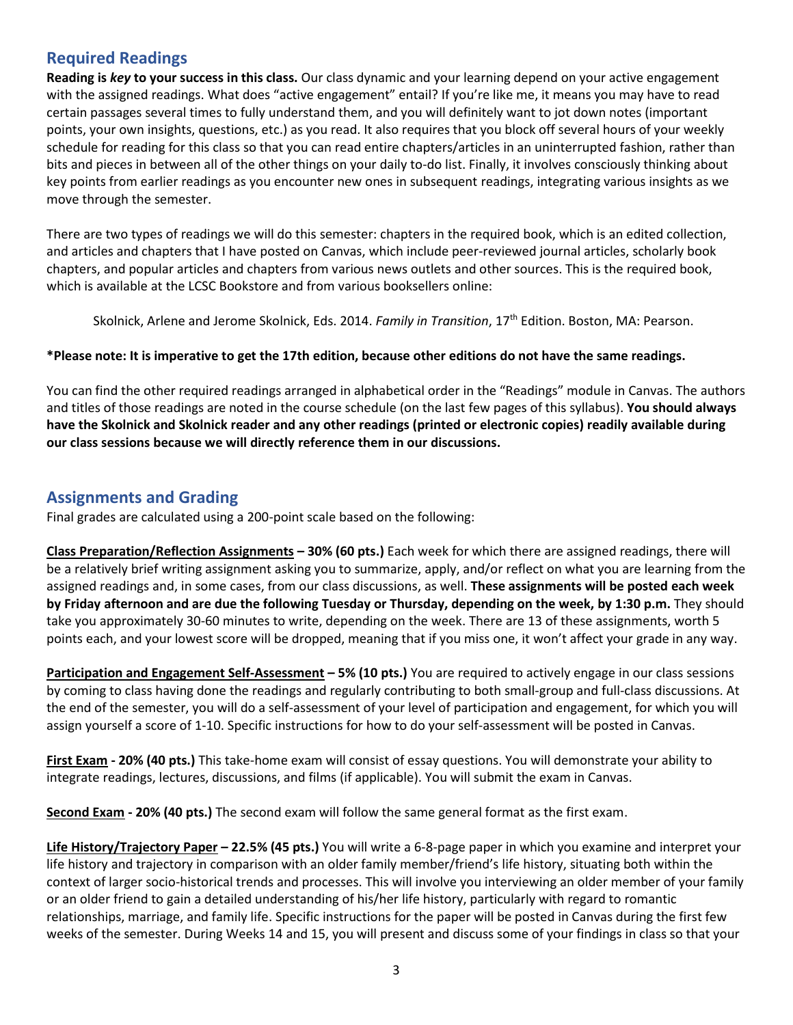## **Required Readings**

**Reading is** *key* **to your success in this class.** Our class dynamic and your learning depend on your active engagement with the assigned readings. What does "active engagement" entail? If you're like me, it means you may have to read certain passages several times to fully understand them, and you will definitely want to jot down notes (important points, your own insights, questions, etc.) as you read. It also requires that you block off several hours of your weekly schedule for reading for this class so that you can read entire chapters/articles in an uninterrupted fashion, rather than bits and pieces in between all of the other things on your daily to-do list. Finally, it involves consciously thinking about key points from earlier readings as you encounter new ones in subsequent readings, integrating various insights as we move through the semester.

There are two types of readings we will do this semester: chapters in the required book, which is an edited collection, and articles and chapters that I have posted on Canvas, which include peer-reviewed journal articles, scholarly book chapters, and popular articles and chapters from various news outlets and other sources. This is the required book, which is available at the LCSC Bookstore and from various booksellers online:

Skolnick, Arlene and Jerome Skolnick, Eds. 2014. *Family in Transition*, 17<sup>th</sup> Edition. Boston, MA: Pearson.

#### **\*Please note: It is imperative to get the 17th edition, because other editions do not have the same readings.**

You can find the other required readings arranged in alphabetical order in the "Readings" module in Canvas. The authors and titles of those readings are noted in the course schedule (on the last few pages of this syllabus). **You should always have the Skolnick and Skolnick reader and any other readings (printed or electronic copies) readily available during our class sessions because we will directly reference them in our discussions.**

### **Assignments and Grading**

Final grades are calculated using a 200-point scale based on the following:

**Class Preparation/Reflection Assignments – 30% (60 pts.)** Each week for which there are assigned readings, there will be a relatively brief writing assignment asking you to summarize, apply, and/or reflect on what you are learning from the assigned readings and, in some cases, from our class discussions, as well. **These assignments will be posted each week by Friday afternoon and are due the following Tuesday or Thursday, depending on the week, by 1:30 p.m.** They should take you approximately 30-60 minutes to write, depending on the week. There are 13 of these assignments, worth 5 points each, and your lowest score will be dropped, meaning that if you miss one, it won't affect your grade in any way.

**Participation and Engagement Self-Assessment – 5% (10 pts.)** You are required to actively engage in our class sessions by coming to class having done the readings and regularly contributing to both small-group and full-class discussions. At the end of the semester, you will do a self-assessment of your level of participation and engagement, for which you will assign yourself a score of 1-10. Specific instructions for how to do your self-assessment will be posted in Canvas.

**First Exam - 20% (40 pts.)** This take-home exam will consist of essay questions. You will demonstrate your ability to integrate readings, lectures, discussions, and films (if applicable). You will submit the exam in Canvas.

**Second Exam - 20% (40 pts.)** The second exam will follow the same general format as the first exam.

**Life History/Trajectory Paper – 22.5% (45 pts.)** You will write a 6-8-page paper in which you examine and interpret your life history and trajectory in comparison with an older family member/friend's life history, situating both within the context of larger socio-historical trends and processes. This will involve you interviewing an older member of your family or an older friend to gain a detailed understanding of his/her life history, particularly with regard to romantic relationships, marriage, and family life. Specific instructions for the paper will be posted in Canvas during the first few weeks of the semester. During Weeks 14 and 15, you will present and discuss some of your findings in class so that your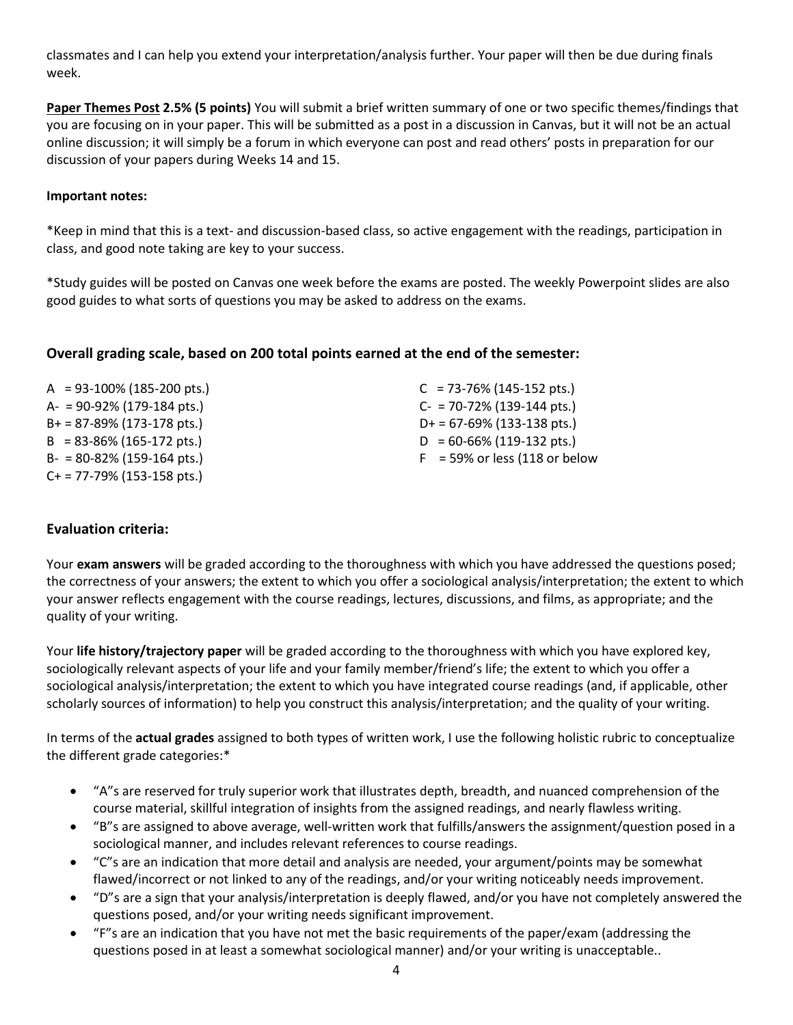classmates and I can help you extend your interpretation/analysis further. Your paper will then be due during finals week.

**Paper Themes Post 2.5% (5 points)** You will submit a brief written summary of one or two specific themes/findings that you are focusing on in your paper. This will be submitted as a post in a discussion in Canvas, but it will not be an actual online discussion; it will simply be a forum in which everyone can post and read others' posts in preparation for our discussion of your papers during Weeks 14 and 15.

#### **Important notes:**

\*Keep in mind that this is a text- and discussion-based class, so active engagement with the readings, participation in class, and good note taking are key to your success.

\*Study guides will be posted on Canvas one week before the exams are posted. The weekly Powerpoint slides are also good guides to what sorts of questions you may be asked to address on the exams.

#### **Overall grading scale, based on 200 total points earned at the end of the semester:**

| $A = 93-100\%$ (185-200 pts.)            | $C = 73-76\% (145-152 \text{ pts.})$     |
|------------------------------------------|------------------------------------------|
| $A = 90-92\% (179-184 \text{ pts.})$     | $C - 70-72\%$ (139-144 pts.)             |
| $B+ = 87-89\%$ (173-178 pts.)            | $D+ = 67-69\%$ (133-138 pts.)            |
| $B = 83 - 86\% (165 - 172 \text{ pts.})$ | $D = 60 - 66\% (119 - 132 \text{ pts.})$ |
| $B- = 80-82\% (159-164 \text{ pts.})$    | $F = 59\%$ or less (118 or below         |
| $C+$ = 77-79% (153-158 pts.)             |                                          |

#### **Evaluation criteria:**

Your **exam answers** will be graded according to the thoroughness with which you have addressed the questions posed; the correctness of your answers; the extent to which you offer a sociological analysis/interpretation; the extent to which your answer reflects engagement with the course readings, lectures, discussions, and films, as appropriate; and the quality of your writing.

Your **life history/trajectory paper** will be graded according to the thoroughness with which you have explored key, sociologically relevant aspects of your life and your family member/friend's life; the extent to which you offer a sociological analysis/interpretation; the extent to which you have integrated course readings (and, if applicable, other scholarly sources of information) to help you construct this analysis/interpretation; and the quality of your writing.

In terms of the **actual grades** assigned to both types of written work, I use the following holistic rubric to conceptualize the different grade categories:\*

- "A"s are reserved for truly superior work that illustrates depth, breadth, and nuanced comprehension of the course material, skillful integration of insights from the assigned readings, and nearly flawless writing.
- "B"s are assigned to above average, well-written work that fulfills/answers the assignment/question posed in a sociological manner, and includes relevant references to course readings.
- "C"s are an indication that more detail and analysis are needed, your argument/points may be somewhat flawed/incorrect or not linked to any of the readings, and/or your writing noticeably needs improvement.
- "D"s are a sign that your analysis/interpretation is deeply flawed, and/or you have not completely answered the questions posed, and/or your writing needs significant improvement.
- "F"s are an indication that you have not met the basic requirements of the paper/exam (addressing the questions posed in at least a somewhat sociological manner) and/or your writing is unacceptable..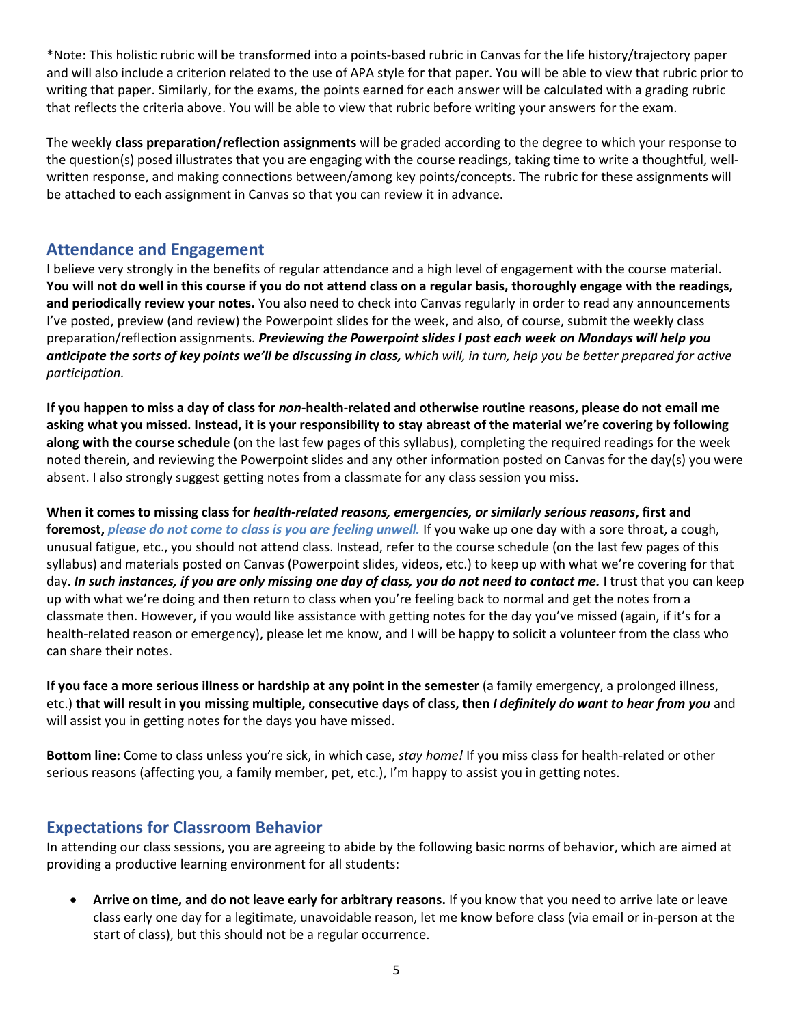\*Note: This holistic rubric will be transformed into a points-based rubric in Canvas for the life history/trajectory paper and will also include a criterion related to the use of APA style for that paper. You will be able to view that rubric prior to writing that paper. Similarly, for the exams, the points earned for each answer will be calculated with a grading rubric that reflects the criteria above. You will be able to view that rubric before writing your answers for the exam.

The weekly **class preparation/reflection assignments** will be graded according to the degree to which your response to the question(s) posed illustrates that you are engaging with the course readings, taking time to write a thoughtful, wellwritten response, and making connections between/among key points/concepts. The rubric for these assignments will be attached to each assignment in Canvas so that you can review it in advance.

## **Attendance and Engagement**

I believe very strongly in the benefits of regular attendance and a high level of engagement with the course material. **You will not do well in this course if you do not attend class on a regular basis, thoroughly engage with the readings, and periodically review your notes.** You also need to check into Canvas regularly in order to read any announcements I've posted, preview (and review) the Powerpoint slides for the week, and also, of course, submit the weekly class preparation/reflection assignments. *Previewing the Powerpoint slides I post each week on Mondays will help you anticipate the sorts of key points we'll be discussing in class, which will, in turn, help you be better prepared for active participation.*

**If you happen to miss a day of class for** *non***-health-related and otherwise routine reasons, please do not email me asking what you missed. Instead, it is your responsibility to stay abreast of the material we're covering by following along with the course schedule** (on the last few pages of this syllabus), completing the required readings for the week noted therein, and reviewing the Powerpoint slides and any other information posted on Canvas for the day(s) you were absent. I also strongly suggest getting notes from a classmate for any class session you miss.

**When it comes to missing class for** *health-related reasons, emergencies, or similarly serious reasons***, first and foremost,** *please do not come to class is you are feeling unwell.* If you wake up one day with a sore throat, a cough, unusual fatigue, etc., you should not attend class. Instead, refer to the course schedule (on the last few pages of this syllabus) and materials posted on Canvas (Powerpoint slides, videos, etc.) to keep up with what we're covering for that day. *In such instances, if you are only missing one day of class, you do not need to contact me.* I trust that you can keep up with what we're doing and then return to class when you're feeling back to normal and get the notes from a classmate then. However, if you would like assistance with getting notes for the day you've missed (again, if it's for a health-related reason or emergency), please let me know, and I will be happy to solicit a volunteer from the class who can share their notes.

**If you face a more serious illness or hardship at any point in the semester** (a family emergency, a prolonged illness, etc.) **that will result in you missing multiple, consecutive days of class, then** *I definitely do want to hear from you* and will assist you in getting notes for the days you have missed.

**Bottom line:** Come to class unless you're sick, in which case, *stay home!* If you miss class for health-related or other serious reasons (affecting you, a family member, pet, etc.), I'm happy to assist you in getting notes.

### **Expectations for Classroom Behavior**

In attending our class sessions, you are agreeing to abide by the following basic norms of behavior, which are aimed at providing a productive learning environment for all students:

• **Arrive on time, and do not leave early for arbitrary reasons.** If you know that you need to arrive late or leave class early one day for a legitimate, unavoidable reason, let me know before class (via email or in-person at the start of class), but this should not be a regular occurrence.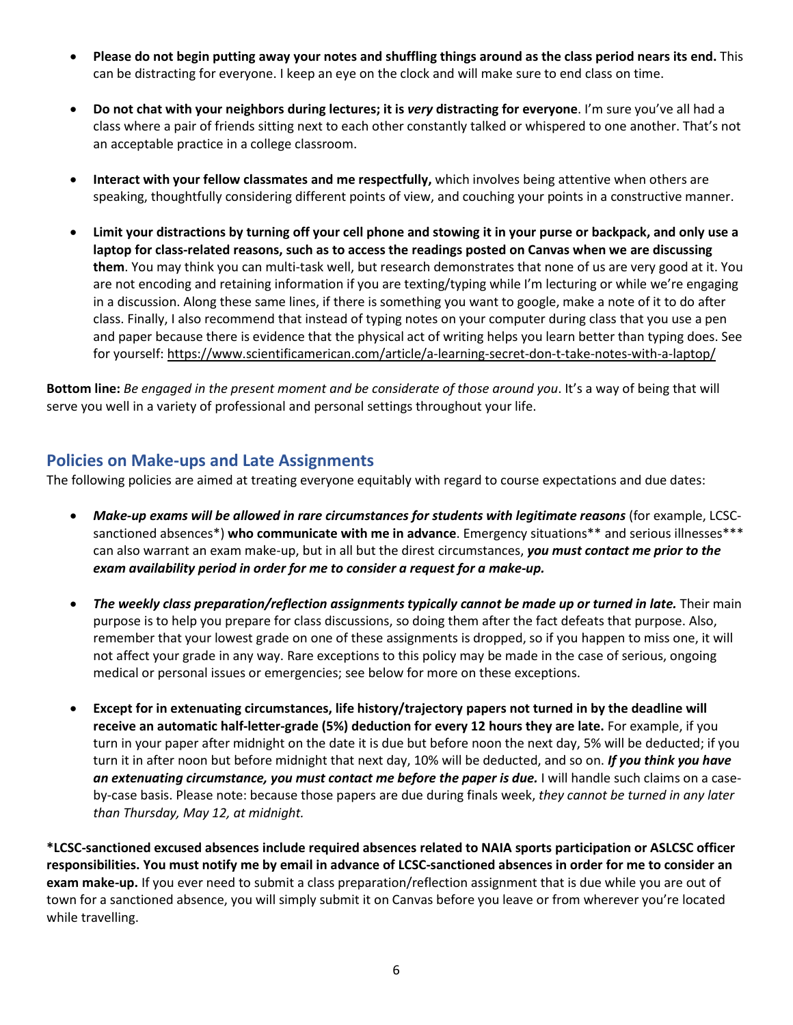- **Please do not begin putting away your notes and shuffling things around as the class period nears its end.** This can be distracting for everyone. I keep an eye on the clock and will make sure to end class on time.
- **Do not chat with your neighbors during lectures; it is** *very* **distracting for everyone**. I'm sure you've all had a class where a pair of friends sitting next to each other constantly talked or whispered to one another. That's not an acceptable practice in a college classroom.
- **Interact with your fellow classmates and me respectfully,** which involves being attentive when others are speaking, thoughtfully considering different points of view, and couching your points in a constructive manner.
- **Limit your distractions by turning off your cell phone and stowing it in your purse or backpack, and only use a laptop for class-related reasons, such as to access the readings posted on Canvas when we are discussing them**. You may think you can multi-task well, but research demonstrates that none of us are very good at it. You are not encoding and retaining information if you are texting/typing while I'm lecturing or while we're engaging in a discussion. Along these same lines, if there is something you want to google, make a note of it to do after class. Finally, I also recommend that instead of typing notes on your computer during class that you use a pen and paper because there is evidence that the physical act of writing helps you learn better than typing does. See for yourself:<https://www.scientificamerican.com/article/a-learning-secret-don-t-take-notes-with-a-laptop/>

**Bottom line:** *Be engaged in the present moment and be considerate of those around you*. It's a way of being that will serve you well in a variety of professional and personal settings throughout your life.

## **Policies on Make-ups and Late Assignments**

The following policies are aimed at treating everyone equitably with regard to course expectations and due dates:

- *Make-up exams will be allowed in rare circumstances for students with legitimate reasons* (for example, LCSCsanctioned absences\*) **who communicate with me in advance**. Emergency situations\*\* and serious illnesses\*\*\* can also warrant an exam make-up, but in all but the direst circumstances, *you must contact me prior to the exam availability period in order for me to consider a request for a make-up.*
- *The weekly class preparation/reflection assignments typically cannot be made up or turned in late.* Their main purpose is to help you prepare for class discussions, so doing them after the fact defeats that purpose. Also, remember that your lowest grade on one of these assignments is dropped, so if you happen to miss one, it will not affect your grade in any way. Rare exceptions to this policy may be made in the case of serious, ongoing medical or personal issues or emergencies; see below for more on these exceptions.
- **Except for in extenuating circumstances, life history/trajectory papers not turned in by the deadline will receive an automatic half-letter-grade (5%) deduction for every 12 hours they are late.** For example, if you turn in your paper after midnight on the date it is due but before noon the next day, 5% will be deducted; if you turn it in after noon but before midnight that next day, 10% will be deducted, and so on. *If you think you have an extenuating circumstance, you must contact me before the paper is due.* I will handle such claims on a caseby-case basis. Please note: because those papers are due during finals week, *they cannot be turned in any later than Thursday, May 12, at midnight.*

**\*LCSC-sanctioned excused absences include required absences related to NAIA sports participation or ASLCSC officer responsibilities. You must notify me by email in advance of LCSC-sanctioned absences in order for me to consider an exam make-up.** If you ever need to submit a class preparation/reflection assignment that is due while you are out of town for a sanctioned absence, you will simply submit it on Canvas before you leave or from wherever you're located while travelling.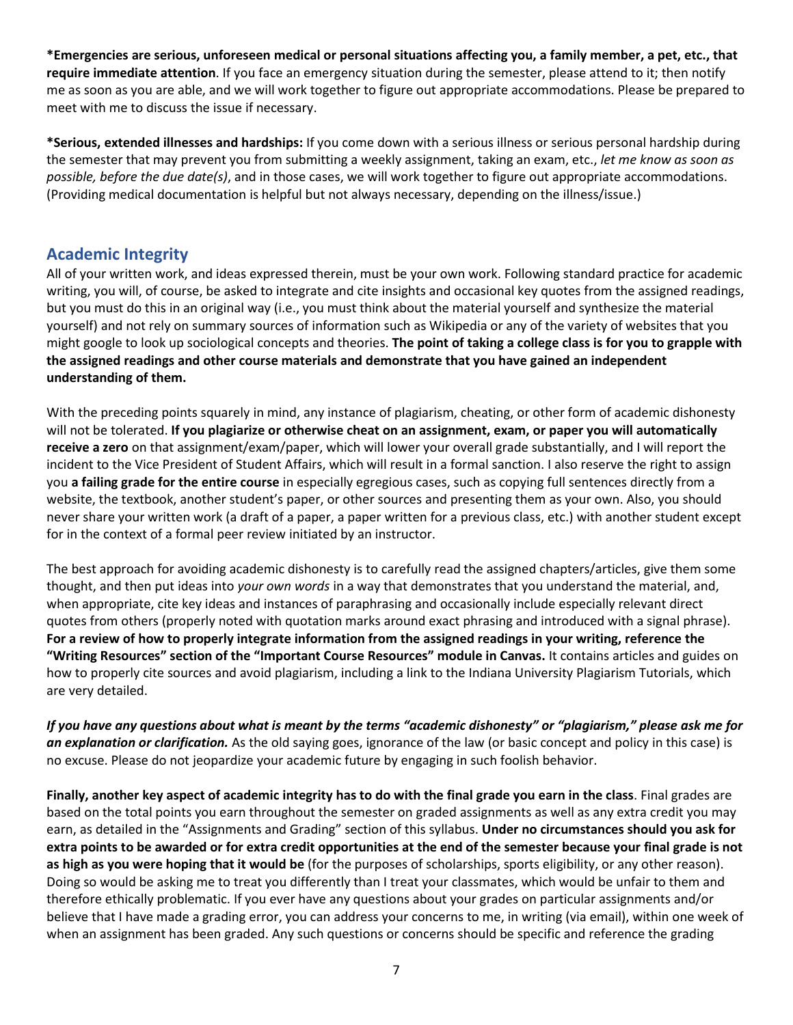**\*Emergencies are serious, unforeseen medical or personal situations affecting you, a family member, a pet, etc., that require immediate attention**. If you face an emergency situation during the semester, please attend to it; then notify me as soon as you are able, and we will work together to figure out appropriate accommodations. Please be prepared to meet with me to discuss the issue if necessary.

**\*Serious, extended illnesses and hardships:** If you come down with a serious illness or serious personal hardship during the semester that may prevent you from submitting a weekly assignment, taking an exam, etc., *let me know as soon as possible, before the due date(s)*, and in those cases, we will work together to figure out appropriate accommodations. (Providing medical documentation is helpful but not always necessary, depending on the illness/issue.)

#### **Academic Integrity**

All of your written work, and ideas expressed therein, must be your own work. Following standard practice for academic writing, you will, of course, be asked to integrate and cite insights and occasional key quotes from the assigned readings, but you must do this in an original way (i.e., you must think about the material yourself and synthesize the material yourself) and not rely on summary sources of information such as Wikipedia or any of the variety of websites that you might google to look up sociological concepts and theories. **The point of taking a college class is for you to grapple with the assigned readings and other course materials and demonstrate that you have gained an independent understanding of them.**

With the preceding points squarely in mind, any instance of plagiarism, cheating, or other form of academic dishonesty will not be tolerated. **If you plagiarize or otherwise cheat on an assignment, exam, or paper you will automatically receive a zero** on that assignment/exam/paper, which will lower your overall grade substantially, and I will report the incident to the Vice President of Student Affairs, which will result in a formal sanction. I also reserve the right to assign you **a failing grade for the entire course** in especially egregious cases, such as copying full sentences directly from a website, the textbook, another student's paper, or other sources and presenting them as your own. Also, you should never share your written work (a draft of a paper, a paper written for a previous class, etc.) with another student except for in the context of a formal peer review initiated by an instructor.

The best approach for avoiding academic dishonesty is to carefully read the assigned chapters/articles, give them some thought, and then put ideas into *your own words* in a way that demonstrates that you understand the material, and, when appropriate, cite key ideas and instances of paraphrasing and occasionally include especially relevant direct quotes from others (properly noted with quotation marks around exact phrasing and introduced with a signal phrase). **For a review of how to properly integrate information from the assigned readings in your writing, reference the "Writing Resources" section of the "Important Course Resources" module in Canvas.** It contains articles and guides on how to properly cite sources and avoid plagiarism, including a link to the Indiana University Plagiarism Tutorials, which are very detailed.

*If you have any questions about what is meant by the terms "academic dishonesty" or "plagiarism," please ask me for an explanation or clarification.* As the old saying goes, ignorance of the law (or basic concept and policy in this case) is no excuse. Please do not jeopardize your academic future by engaging in such foolish behavior.

**Finally, another key aspect of academic integrity has to do with the final grade you earn in the class**. Final grades are based on the total points you earn throughout the semester on graded assignments as well as any extra credit you may earn, as detailed in the "Assignments and Grading" section of this syllabus. **Under no circumstances should you ask for extra points to be awarded or for extra credit opportunities at the end of the semester because your final grade is not as high as you were hoping that it would be** (for the purposes of scholarships, sports eligibility, or any other reason). Doing so would be asking me to treat you differently than I treat your classmates, which would be unfair to them and therefore ethically problematic. If you ever have any questions about your grades on particular assignments and/or believe that I have made a grading error, you can address your concerns to me, in writing (via email), within one week of when an assignment has been graded. Any such questions or concerns should be specific and reference the grading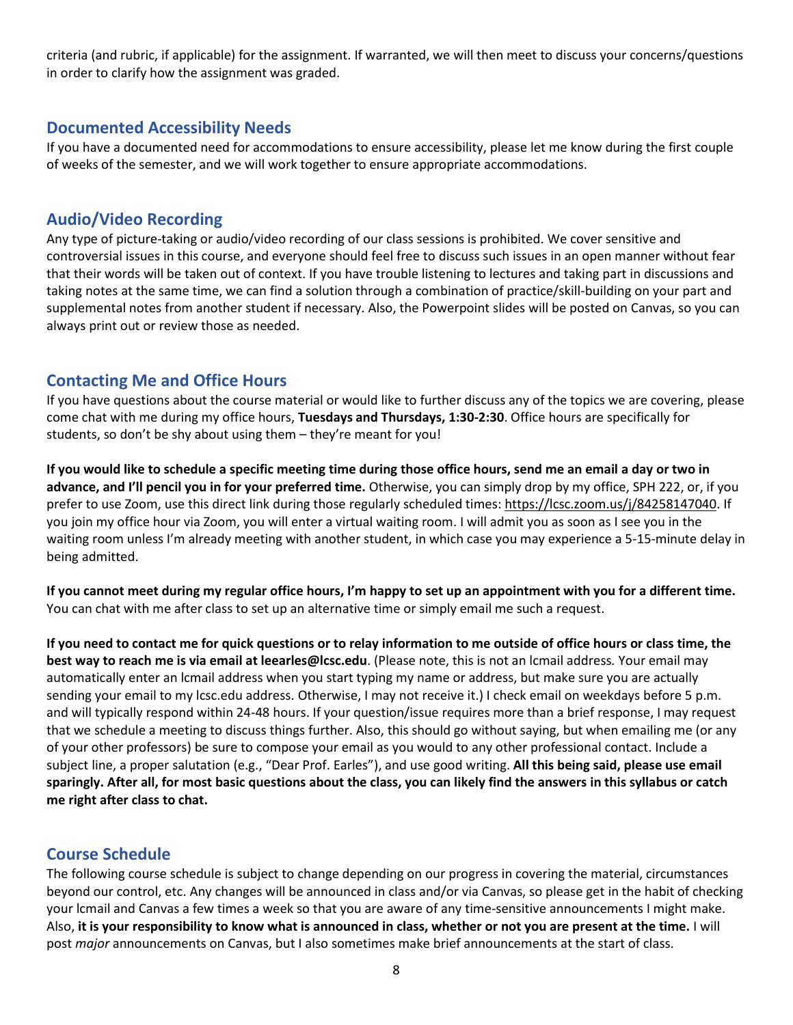criteria (and rubric, if applicable) for the assignment. If warranted, we will then meet to discuss your concerns/questions in order to clarify how the assignment was graded.

## **Documented Accessibility Needs**

If you have a documented need for accommodations to ensure accessibility, please let me know during the first couple of weeks of the semester, and we will work together to ensure appropriate accommodations.

## **Audio/Video Recording**

Any type of picture-taking or audio/video recording of our class sessions is prohibited. We cover sensitive and controversial issues in this course, and everyone should feel free to discuss such issues in an open manner without fear that their words will be taken out of context. If you have trouble listening to lectures and taking part in discussions and taking notes at the same time, we can find a solution through a combination of practice/skill-building on your part and supplemental notes from another student if necessary. Also, the Powerpoint slides will be posted on Canvas, so you can always print out or review those as needed.

## **Contacting Me and Office Hours**

If you have questions about the course material or would like to further discuss any of the topics we are covering, please come chat with me during my office hours, **Tuesdays and Thursdays, 1:30-2:30**. Office hours are specifically for students, so don't be shy about using them – they're meant for you!

**If you would like to schedule a specific meeting time during those office hours, send me an email a day or two in advance, and I'll pencil you in for your preferred time.** Otherwise, you can simply drop by my office, SPH 222, or, if you prefer to use Zoom, use this direct link during those regularly scheduled times[: https://lcsc.zoom.us/j/84258147040.](https://lcsc.zoom.us/j/84258147040) If you join my office hour via Zoom, you will enter a virtual waiting room. I will admit you as soon as I see you in the waiting room unless I'm already meeting with another student, in which case you may experience a 5-15-minute delay in being admitted.

**If you cannot meet during my regular office hours, I'm happy to set up an appointment with you for a different time.** You can chat with me after class to set up an alternative time or simply email me such a request.

**If you need to contact me for quick questions or to relay information to me outside of office hours or class time, the best way to reach me is via email at leearles@lcsc.edu**. (Please note, this is not an lcmail address*.* Your email may automatically enter an lcmail address when you start typing my name or address, but make sure you are actually sending your email to my lcsc.edu address. Otherwise, I may not receive it.) I check email on weekdays before 5 p.m. and will typically respond within 24-48 hours. If your question/issue requires more than a brief response, I may request that we schedule a meeting to discuss things further. Also, this should go without saying, but when emailing me (or any of your other professors) be sure to compose your email as you would to any other professional contact. Include a subject line, a proper salutation (e.g., "Dear Prof. Earles"), and use good writing. **All this being said, please use email sparingly. After all, for most basic questions about the class, you can likely find the answers in this syllabus or catch me right after class to chat.**

## **Course Schedule**

The following course schedule is subject to change depending on our progress in covering the material, circumstances beyond our control, etc. Any changes will be announced in class and/or via Canvas, so please get in the habit of checking your lcmail and Canvas a few times a week so that you are aware of any time-sensitive announcements I might make. Also, **it is your responsibility to know what is announced in class, whether or not you are present at the time.** I will post *major* announcements on Canvas, but I also sometimes make brief announcements at the start of class.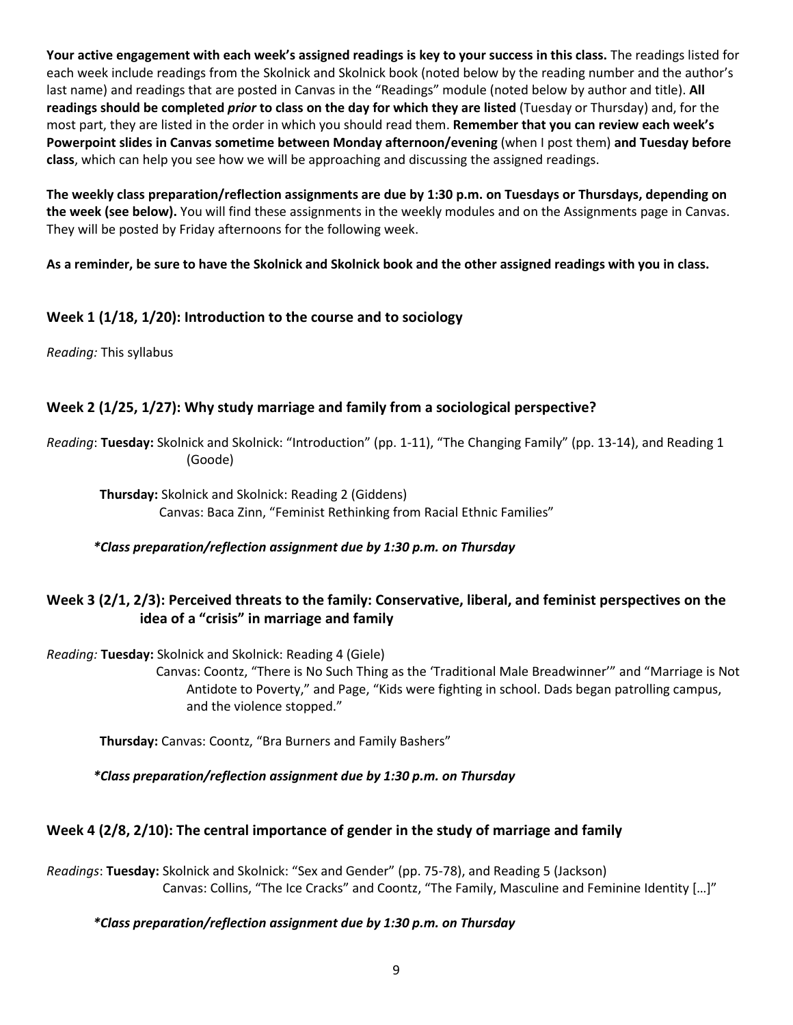**Your active engagement with each week's assigned readings is key to your success in this class.** The readings listed for each week include readings from the Skolnick and Skolnick book (noted below by the reading number and the author's last name) and readings that are posted in Canvas in the "Readings" module (noted below by author and title). **All readings should be completed** *prior* **to class on the day for which they are listed** (Tuesday or Thursday) and, for the most part, they are listed in the order in which you should read them. **Remember that you can review each week's Powerpoint slides in Canvas sometime between Monday afternoon/evening** (when I post them) **and Tuesday before class**, which can help you see how we will be approaching and discussing the assigned readings.

**The weekly class preparation/reflection assignments are due by 1:30 p.m. on Tuesdays or Thursdays, depending on the week (see below).** You will find these assignments in the weekly modules and on the Assignments page in Canvas. They will be posted by Friday afternoons for the following week.

**As a reminder, be sure to have the Skolnick and Skolnick book and the other assigned readings with you in class.**

#### **Week 1 (1/18, 1/20): Introduction to the course and to sociology**

*Reading:* This syllabus

#### **Week 2 (1/25, 1/27): Why study marriage and family from a sociological perspective?**

*Reading*: **Tuesday:** Skolnick and Skolnick: "Introduction" (pp. 1-11), "The Changing Family" (pp. 13-14), and Reading 1 (Goode)

 **Thursday:** Skolnick and Skolnick: Reading 2 (Giddens) Canvas: Baca Zinn, "Feminist Rethinking from Racial Ethnic Families"

*\*Class preparation/reflection assignment due by 1:30 p.m. on Thursday*

### **Week 3 (2/1, 2/3): Perceived threats to the family: Conservative, liberal, and feminist perspectives on the idea of a "crisis" in marriage and family**

*Reading:* **Tuesday:** Skolnick and Skolnick: Reading 4 (Giele)

 Canvas: Coontz, "There is No Such Thing as the 'Traditional Male Breadwinner'" and "Marriage is Not Antidote to Poverty," and Page, "Kids were fighting in school. Dads began patrolling campus, and the violence stopped."

**Thursday:** Canvas: Coontz, "Bra Burners and Family Bashers"

*\*Class preparation/reflection assignment due by 1:30 p.m. on Thursday*

#### **Week 4 (2/8, 2/10): The central importance of gender in the study of marriage and family**

*Readings*: **Tuesday:** Skolnick and Skolnick: "Sex and Gender" (pp. 75-78), and Reading 5 (Jackson) Canvas: Collins, "The Ice Cracks" and Coontz, "The Family, Masculine and Feminine Identity […]"

#### *\*Class preparation/reflection assignment due by 1:30 p.m. on Thursday*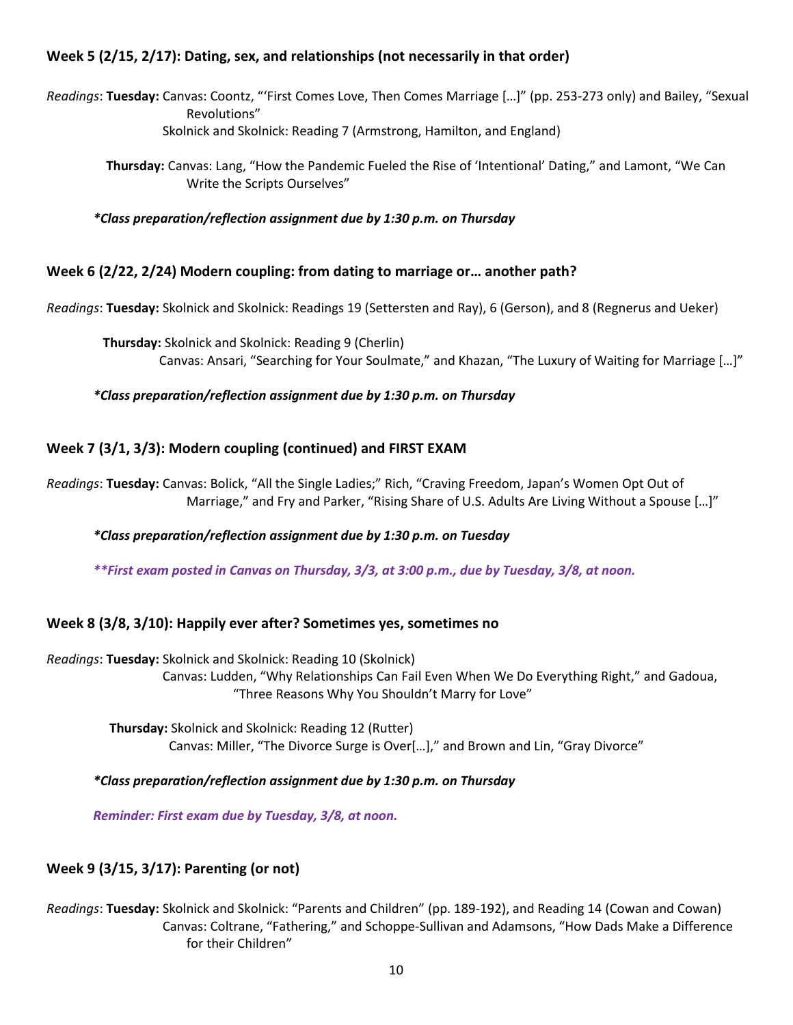## **Week 5 (2/15, 2/17): Dating, sex, and relationships (not necessarily in that order)**

*Readings*: **Tuesday:** Canvas: Coontz, "'First Comes Love, Then Comes Marriage […]" (pp. 253-273 only) and Bailey, "Sexual Revolutions" Skolnick and Skolnick: Reading 7 (Armstrong, Hamilton, and England)

**Thursday:** Canvas: Lang, "How the Pandemic Fueled the Rise of 'Intentional' Dating," and Lamont, "We Can Write the Scripts Ourselves"

*\*Class preparation/reflection assignment due by 1:30 p.m. on Thursday*

#### **Week 6 (2/22, 2/24) Modern coupling: from dating to marriage or… another path?**

*Readings*: **Tuesday:** Skolnick and Skolnick: Readings 19 (Settersten and Ray), 6 (Gerson), and 8 (Regnerus and Ueker)

 **Thursday:** Skolnick and Skolnick: Reading 9 (Cherlin) Canvas: Ansari, "Searching for Your Soulmate," and Khazan, "The Luxury of Waiting for Marriage […]"

*\*Class preparation/reflection assignment due by 1:30 p.m. on Thursday*

#### **Week 7 (3/1, 3/3): Modern coupling (continued) and FIRST EXAM**

*Readings*: **Tuesday:** Canvas: Bolick, "All the Single Ladies;" Rich, "Craving Freedom, Japan's Women Opt Out of Marriage," and Fry and Parker, "Rising Share of U.S. Adults Are Living Without a Spouse […]"

*\*Class preparation/reflection assignment due by 1:30 p.m. on Tuesday*

*\*\*First exam posted in Canvas on Thursday, 3/3, at 3:00 p.m., due by Tuesday, 3/8, at noon.*

#### **Week 8 (3/8, 3/10): Happily ever after? Sometimes yes, sometimes no**

*Readings*: **Tuesday:** Skolnick and Skolnick: Reading 10 (Skolnick) Canvas: Ludden, "Why Relationships Can Fail Even When We Do Everything Right," and Gadoua, "Three Reasons Why You Shouldn't Marry for Love"

 **Thursday:** Skolnick and Skolnick: Reading 12 (Rutter) Canvas: Miller, "The Divorce Surge is Over[…]," and Brown and Lin, "Gray Divorce"

*\*Class preparation/reflection assignment due by 1:30 p.m. on Thursday*

*Reminder: First exam due by Tuesday, 3/8, at noon.*

### **Week 9 (3/15, 3/17): Parenting (or not)**

*Readings*: **Tuesday:** Skolnick and Skolnick: "Parents and Children" (pp. 189-192), and Reading 14 (Cowan and Cowan) Canvas: Coltrane, "Fathering," and Schoppe-Sullivan and Adamsons, "How Dads Make a Difference for their Children"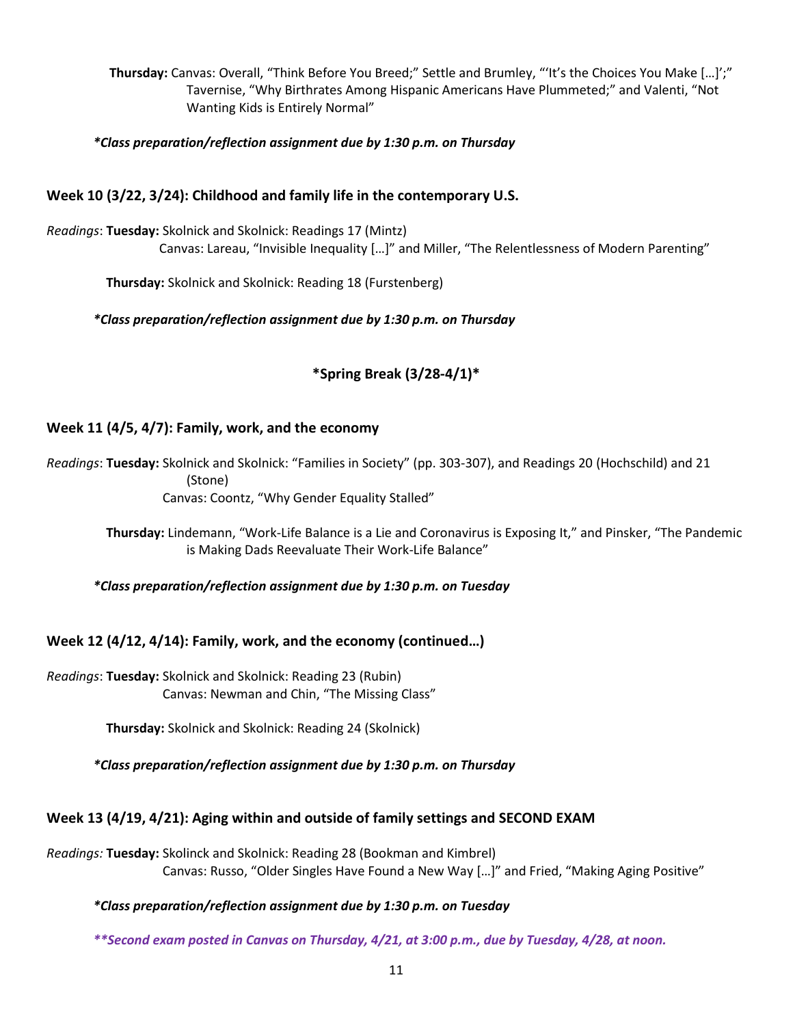**Thursday:** Canvas: Overall, "Think Before You Breed;" Settle and Brumley, "'It's the Choices You Make […]';" Tavernise, "Why Birthrates Among Hispanic Americans Have Plummeted;" and Valenti, "Not Wanting Kids is Entirely Normal"

*\*Class preparation/reflection assignment due by 1:30 p.m. on Thursday*

### **Week 10 (3/22, 3/24): Childhood and family life in the contemporary U.S.**

*Readings*: **Tuesday:** Skolnick and Skolnick: Readings 17 (Mintz) Canvas: Lareau, "Invisible Inequality […]" and Miller, "The Relentlessness of Modern Parenting"

**Thursday:** Skolnick and Skolnick: Reading 18 (Furstenberg)

*\*Class preparation/reflection assignment due by 1:30 p.m. on Thursday*

### **\*Spring Break (3/28-4/1)\***

#### **Week 11 (4/5, 4/7): Family, work, and the economy**

*Readings*: **Tuesday:** Skolnick and Skolnick: "Families in Society" (pp. 303-307), and Readings 20 (Hochschild) and 21 (Stone) Canvas: Coontz, "Why Gender Equality Stalled"

**Thursday:** Lindemann, "Work-Life Balance is a Lie and Coronavirus is Exposing It," and Pinsker, "The Pandemic is Making Dads Reevaluate Their Work-Life Balance"

*\*Class preparation/reflection assignment due by 1:30 p.m. on Tuesday*

#### **Week 12 (4/12, 4/14): Family, work, and the economy (continued…)**

*Readings*: **Tuesday:** Skolnick and Skolnick: Reading 23 (Rubin) Canvas: Newman and Chin, "The Missing Class"

**Thursday:** Skolnick and Skolnick: Reading 24 (Skolnick)

*\*Class preparation/reflection assignment due by 1:30 p.m. on Thursday*

#### **Week 13 (4/19, 4/21): Aging within and outside of family settings and SECOND EXAM**

*Readings:* **Tuesday:** Skolinck and Skolnick: Reading 28 (Bookman and Kimbrel) Canvas: Russo, "Older Singles Have Found a New Way […]" and Fried, "Making Aging Positive"

#### *\*Class preparation/reflection assignment due by 1:30 p.m. on Tuesday*

*\*\*Second exam posted in Canvas on Thursday, 4/21, at 3:00 p.m., due by Tuesday, 4/28, at noon.*